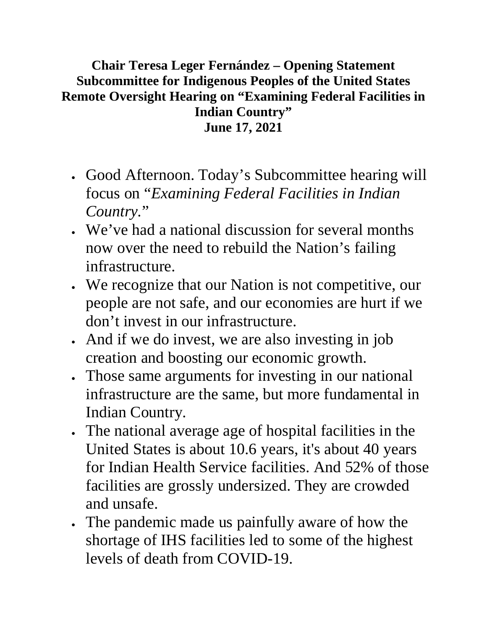## **Chair Teresa Leger Fernández – Opening Statement Subcommittee for Indigenous Peoples of the United States Remote Oversight Hearing on "Examining Federal Facilities in Indian Country" June 17, 2021**

- Good Afternoon. Today's Subcommittee hearing will focus on "*Examining Federal Facilities in Indian Country.*"
- We've had a national discussion for several months now over the need to rebuild the Nation's failing infrastructure.
- We recognize that our Nation is not competitive, our people are not safe, and our economies are hurt if we don't invest in our infrastructure.
- And if we do invest, we are also investing in job creation and boosting our economic growth.
- Those same arguments for investing in our national infrastructure are the same, but more fundamental in Indian Country.
- The national average age of hospital facilities in the United States is about 10.6 years, it's about 40 years for Indian Health Service facilities. And 52% of those facilities are grossly undersized. They are crowded and unsafe.
- The pandemic made us painfully aware of how the shortage of IHS facilities led to some of the highest levels of death from COVID-19.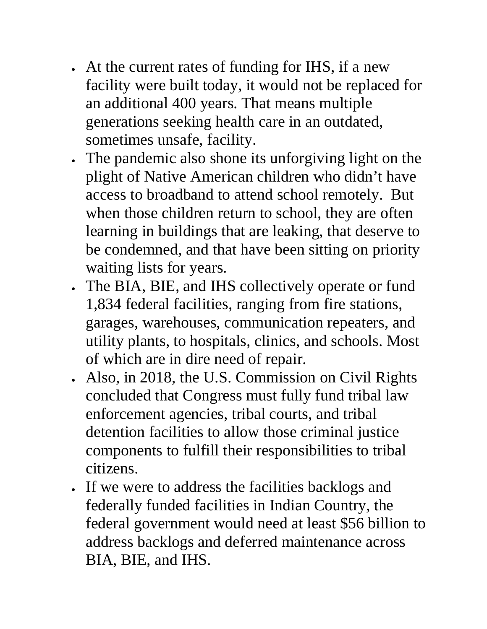- At the current rates of funding for IHS, if a new facility were built today, it would not be replaced for an additional 400 years. That means multiple generations seeking health care in an outdated, sometimes unsafe, facility.
- The pandemic also shone its unforgiving light on the plight of Native American children who didn't have access to broadband to attend school remotely. But when those children return to school, they are often learning in buildings that are leaking, that deserve to be condemned, and that have been sitting on priority waiting lists for years.
- The BIA, BIE, and IHS collectively operate or fund 1,834 federal facilities, ranging from fire stations, garages, warehouses, communication repeaters, and utility plants, to hospitals, clinics, and schools. Most of which are in dire need of repair.
- Also, in 2018, the U.S. Commission on Civil Rights concluded that Congress must fully fund tribal law enforcement agencies, tribal courts, and tribal detention facilities to allow those criminal justice components to fulfill their responsibilities to tribal citizens.
- If we were to address the facilities backlogs and federally funded facilities in Indian Country, the federal government would need at least \$56 billion to address backlogs and deferred maintenance across BIA, BIE, and IHS.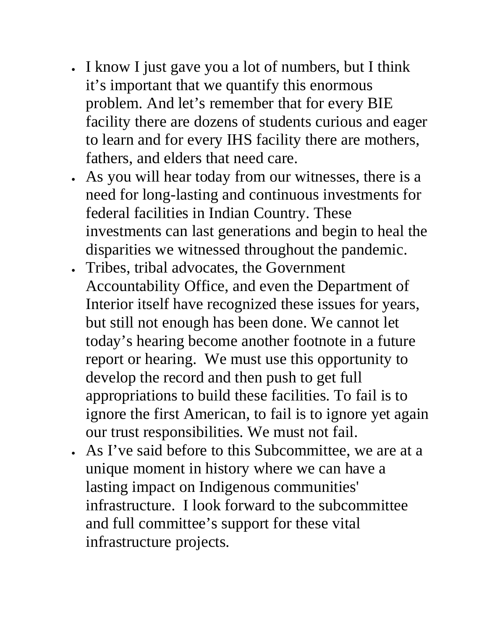- I know I just gave you a lot of numbers, but I think it's important that we quantify this enormous problem. And let's remember that for every BIE facility there are dozens of students curious and eager to learn and for every IHS facility there are mothers, fathers, and elders that need care.
- As you will hear today from our witnesses, there is a need for long-lasting and continuous investments for federal facilities in Indian Country. These investments can last generations and begin to heal the disparities we witnessed throughout the pandemic.
- Tribes, tribal advocates, the Government Accountability Office, and even the Department of Interior itself have recognized these issues for years, but still not enough has been done. We cannot let today's hearing become another footnote in a future report or hearing. We must use this opportunity to develop the record and then push to get full appropriations to build these facilities. To fail is to ignore the first American, to fail is to ignore yet again our trust responsibilities. We must not fail.
- As I've said before to this Subcommittee, we are at a unique moment in history where we can have a lasting impact on Indigenous communities' infrastructure. I look forward to the subcommittee and full committee's support for these vital infrastructure projects.